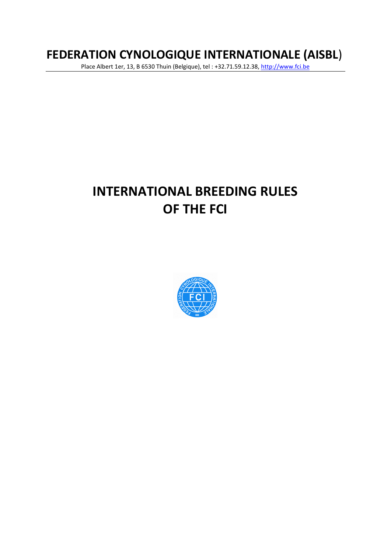# **FEDERATION CYNOLOGIQUE INTERNATIONALE (AISBL**)

Place Albert 1er, 13, B 6530 Thuin (Belgique), tel : +32.71.59.12.38[, http://www.fci.be](http://www.fci.be/)

# **INTERNATIONAL BREEDING RULES OF THE FCI**

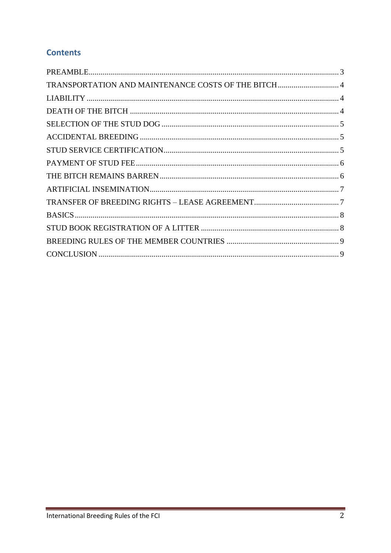## **Contents**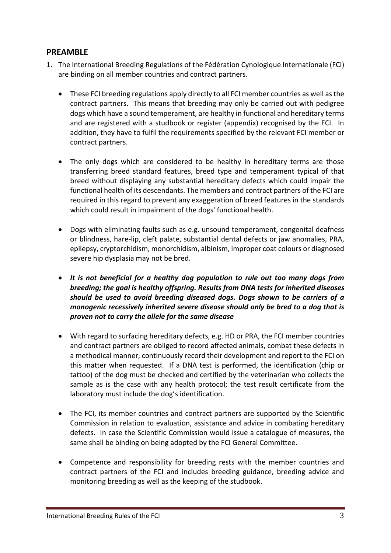#### <span id="page-2-0"></span>**PREAMBLE**

- 1. The International Breeding Regulations of the Fédération Cynologique Internationale (FCI) are binding on all member countries and contract partners.
	- These FCI breeding regulations apply directly to all FCI member countries as well as the contract partners. This means that breeding may only be carried out with pedigree dogs which have a sound temperament, are healthy in functional and hereditary terms and are registered with a studbook or register (appendix) recognised by the FCI. In addition, they have to fulfil the requirements specified by the relevant FCI member or contract partners.
	- The only dogs which are considered to be healthy in hereditary terms are those transferring breed standard features, breed type and temperament typical of that breed without displaying any substantial hereditary defects which could impair the functional health of its descendants. The members and contract partners of the FCI are required in this regard to prevent any exaggeration of breed features in the standards which could result in impairment of the dogs' functional health.
	- Dogs with eliminating faults such as e.g. unsound temperament, congenital deafness or blindness, hare-lip, cleft palate, substantial dental defects or jaw anomalies, PRA, epilepsy, cryptorchidism, monorchidism, albinism, improper coat colours or diagnosed severe hip dysplasia may not be bred.
	- *It is not beneficial for a healthy dog population to rule out too many dogs from breeding; the goal is healthy offspring. Results from DNA tests for inherited diseases should be used to avoid breeding diseased dogs. Dogs shown to be carriers of a monogenic recessively inherited severe disease should only be bred to a dog that is proven not to carry the allele for the same disease*
	- With regard to surfacing hereditary defects, e.g. HD or PRA, the FCI member countries and contract partners are obliged to record affected animals, combat these defects in a methodical manner, continuously record their development and report to the FCI on this matter when requested. If a DNA test is performed, the identification (chip or tattoo) of the dog must be checked and certified by the veterinarian who collects the sample as is the case with any health protocol; the test result certificate from the laboratory must include the dog's identification.
	- The FCI, its member countries and contract partners are supported by the Scientific Commission in relation to evaluation, assistance and advice in combating hereditary defects. In case the Scientific Commission would issue a catalogue of measures, the same shall be binding on being adopted by the FCI General Committee.
	- Competence and responsibility for breeding rests with the member countries and contract partners of the FCI and includes breeding guidance, breeding advice and monitoring breeding as well as the keeping of the studbook.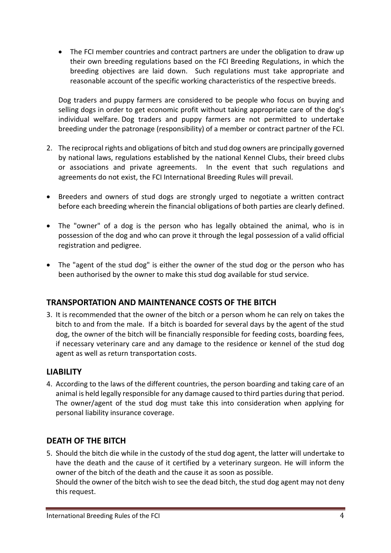• The FCI member countries and contract partners are under the obligation to draw up their own breeding regulations based on the FCI Breeding Regulations, in which the breeding objectives are laid down. Such regulations must take appropriate and reasonable account of the specific working characteristics of the respective breeds.

Dog traders and puppy farmers are considered to be people who focus on buying and selling dogs in order to get economic profit without taking appropriate care of the dog's individual welfare. Dog traders and puppy farmers are not permitted to undertake breeding under the patronage (responsibility) of a member or contract partner of the FCI.

- 2. The reciprocal rights and obligations of bitch and stud dog owners are principally governed by national laws, regulations established by the national Kennel Clubs, their breed clubs or associations and private agreements. In the event that such regulations and agreements do not exist, the FCI International Breeding Rules will prevail.
- Breeders and owners of stud dogs are strongly urged to negotiate a written contract before each breeding wherein the financial obligations of both parties are clearly defined.
- The "owner" of a dog is the person who has legally obtained the animal, who is in possession of the dog and who can prove it through the legal possession of a valid official registration and pedigree.
- The "agent of the stud dog" is either the owner of the stud dog or the person who has been authorised by the owner to make this stud dog available for stud service.

### <span id="page-3-0"></span>**TRANSPORTATION AND MAINTENANCE COSTS OF THE BITCH**

3. It is recommended that the owner of the bitch or a person whom he can rely on takes the bitch to and from the male. If a bitch is boarded for several days by the agent of the stud dog, the owner of the bitch will be financially responsible for feeding costs, boarding fees, if necessary veterinary care and any damage to the residence or kennel of the stud dog agent as well as return transportation costs.

#### <span id="page-3-1"></span>**LIABILITY**

4. According to the laws of the different countries, the person boarding and taking care of an animal is held legally responsible for any damage caused to third parties during that period. The owner/agent of the stud dog must take this into consideration when applying for personal liability insurance coverage.

#### <span id="page-3-2"></span>**DEATH OF THE BITCH**

5. Should the bitch die while in the custody of the stud dog agent, the latter will undertake to have the death and the cause of it certified by a veterinary surgeon. He will inform the owner of the bitch of the death and the cause it as soon as possible. Should the owner of the bitch wish to see the dead bitch, the stud dog agent may not deny this request.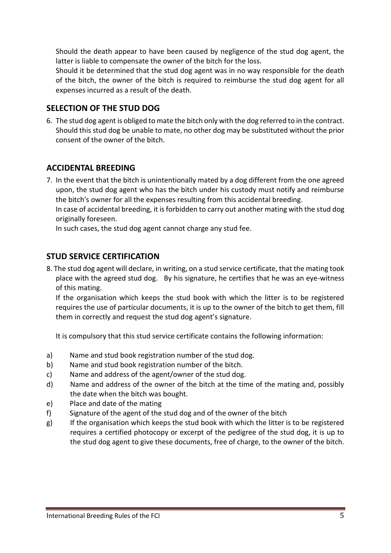Should the death appear to have been caused by negligence of the stud dog agent, the latter is liable to compensate the owner of the bitch for the loss.

Should it be determined that the stud dog agent was in no way responsible for the death of the bitch, the owner of the bitch is required to reimburse the stud dog agent for all expenses incurred as a result of the death.

#### <span id="page-4-0"></span>**SELECTION OF THE STUD DOG**

6. The stud dog agent is obliged to mate the bitch only with the dog referred to in the contract. Should this stud dog be unable to mate, no other dog may be substituted without the prior consent of the owner of the bitch.

#### <span id="page-4-1"></span>**ACCIDENTAL BREEDING**

7. In the event that the bitch is unintentionally mated by a dog different from the one agreed upon, the stud dog agent who has the bitch under his custody must notify and reimburse the bitch's owner for all the expenses resulting from this accidental breeding. In case of accidental breeding, it is forbidden to carry out another mating with the stud dog originally foreseen.

In such cases, the stud dog agent cannot charge any stud fee.

#### <span id="page-4-2"></span>**STUD SERVICE CERTIFICATION**

8. The stud dog agent will declare, in writing, on a stud service certificate, that the mating took place with the agreed stud dog. By his signature, he certifies that he was an eye-witness of this mating.

If the organisation which keeps the stud book with which the litter is to be registered requires the use of particular documents, it is up to the owner of the bitch to get them, fill them in correctly and request the stud dog agent's signature.

It is compulsory that this stud service certificate contains the following information:

- a) Name and stud book registration number of the stud dog.
- b) Name and stud book registration number of the bitch.
- c) Name and address of the agent/owner of the stud dog.
- d) Name and address of the owner of the bitch at the time of the mating and, possibly the date when the bitch was bought.
- e) Place and date of the mating
- f) Signature of the agent of the stud dog and of the owner of the bitch
- g) If the organisation which keeps the stud book with which the litter is to be registered requires a certified photocopy or excerpt of the pedigree of the stud dog, it is up to the stud dog agent to give these documents, free of charge, to the owner of the bitch.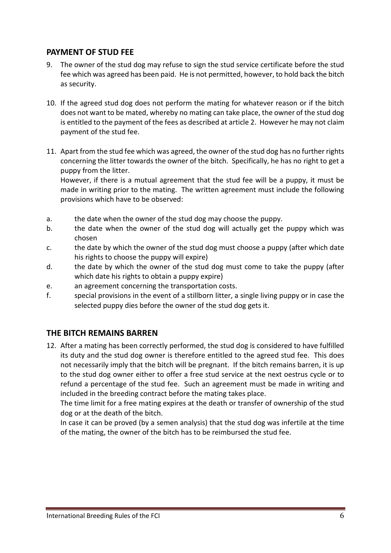#### <span id="page-5-0"></span>**PAYMENT OF STUD FEE**

- 9. The owner of the stud dog may refuse to sign the stud service certificate before the stud fee which was agreed has been paid. He is not permitted, however, to hold back the bitch as security.
- 10. If the agreed stud dog does not perform the mating for whatever reason or if the bitch does not want to be mated, whereby no mating can take place, the owner of the stud dog is entitled to the payment of the fees as described at article 2. However he may not claim payment of the stud fee.
- 11. Apart from the stud fee which was agreed, the owner of the stud dog has no further rights concerning the litter towards the owner of the bitch. Specifically, he has no right to get a puppy from the litter.

However, if there is a mutual agreement that the stud fee will be a puppy, it must be made in writing prior to the mating. The written agreement must include the following provisions which have to be observed:

- a. the date when the owner of the stud dog may choose the puppy.
- b. the date when the owner of the stud dog will actually get the puppy which was chosen
- c. the date by which the owner of the stud dog must choose a puppy (after which date his rights to choose the puppy will expire)
- d. the date by which the owner of the stud dog must come to take the puppy (after which date his rights to obtain a puppy expire)
- e. an agreement concerning the transportation costs.
- f. special provisions in the event of a stillborn litter, a single living puppy or in case the selected puppy dies before the owner of the stud dog gets it.

#### <span id="page-5-1"></span>**THE BITCH REMAINS BARREN**

12. After a mating has been correctly performed, the stud dog is considered to have fulfilled its duty and the stud dog owner is therefore entitled to the agreed stud fee. This does not necessarily imply that the bitch will be pregnant. If the bitch remains barren, it is up to the stud dog owner either to offer a free stud service at the next oestrus cycle or to refund a percentage of the stud fee. Such an agreement must be made in writing and included in the breeding contract before the mating takes place.

The time limit for a free mating expires at the death or transfer of ownership of the stud dog or at the death of the bitch.

In case it can be proved (by a semen analysis) that the stud dog was infertile at the time of the mating, the owner of the bitch has to be reimbursed the stud fee.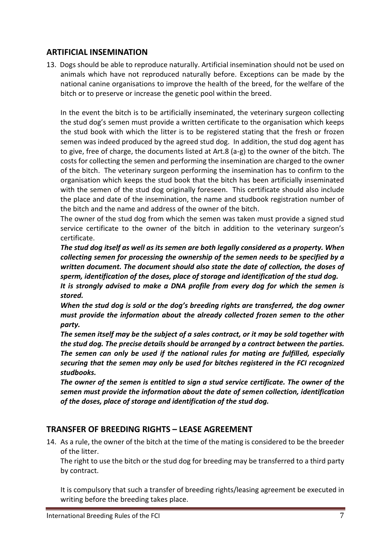#### <span id="page-6-0"></span>**ARTIFICIAL INSEMINATION**

13. Dogs should be able to reproduce naturally. Artificial insemination should not be used on animals which have not reproduced naturally before. Exceptions can be made by the national canine organisations to improve the health of the breed, for the welfare of the bitch or to preserve or increase the genetic pool within the breed.

In the event the bitch is to be artificially inseminated, the veterinary surgeon collecting the stud dog's semen must provide a written certificate to the organisation which keeps the stud book with which the litter is to be registered stating that the fresh or frozen semen was indeed produced by the agreed stud dog. In addition, the stud dog agent has to give, free of charge, the documents listed at Art.8 (a-g) to the owner of the bitch. The costs for collecting the semen and performing the insemination are charged to the owner of the bitch. The veterinary surgeon performing the insemination has to confirm to the organisation which keeps the stud book that the bitch has been artificially inseminated with the semen of the stud dog originally foreseen. This certificate should also include the place and date of the insemination, the name and studbook registration number of the bitch and the name and address of the owner of the bitch.

The owner of the stud dog from which the semen was taken must provide a signed stud service certificate to the owner of the bitch in addition to the veterinary surgeon's certificate.

*The stud dog itself as well as its semen are both legally considered as a property. When collecting semen for processing the ownership of the semen needs to be specified by a written document. The document should also state the date of collection, the doses of sperm, identification of the doses, place of storage and identification of the stud dog.*

*It is strongly advised to make a DNA profile from every dog for which the semen is stored.*

*When the stud dog is sold or the dog's breeding rights are transferred, the dog owner must provide the information about the already collected frozen semen to the other party.*

*The semen itself may be the subject of a sales contract, or it may be sold together with the stud dog. The precise details should be arranged by a contract between the parties. The semen can only be used if the national rules for mating are fulfilled, especially securing that the semen may only be used for bitches registered in the FCI recognized studbooks.*

*The owner of the semen is entitled to sign a stud service certificate. The owner of the semen must provide the information about the date of semen collection, identification of the doses, place of storage and identification of the stud dog.* 

#### <span id="page-6-1"></span>**TRANSFER OF BREEDING RIGHTS – LEASE AGREEMENT**

14. As a rule, the owner of the bitch at the time of the mating is considered to be the breeder of the litter.

The right to use the bitch or the stud dog for breeding may be transferred to a third party by contract.

It is compulsory that such a transfer of breeding rights/leasing agreement be executed in writing before the breeding takes place.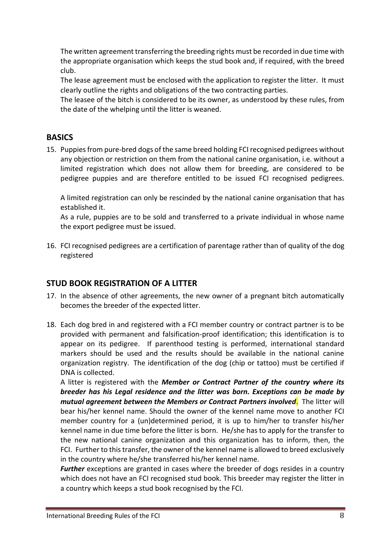The written agreement transferring the breeding rights must be recorded in due time with the appropriate organisation which keeps the stud book and, if required, with the breed club.

The lease agreement must be enclosed with the application to register the litter. It must clearly outline the rights and obligations of the two contracting parties.

The leasee of the bitch is considered to be its owner, as understood by these rules, from the date of the whelping until the litter is weaned.

#### <span id="page-7-0"></span>**BASICS**

15. Puppies from pure-bred dogs of the same breed holding FCI recognised pedigrees without any objection or restriction on them from the national canine organisation, i.e. without a limited registration which does not allow them for breeding, are considered to be pedigree puppies and are therefore entitled to be issued FCI recognised pedigrees.

A limited registration can only be rescinded by the national canine organisation that has established it.

As a rule, puppies are to be sold and transferred to a private individual in whose name the export pedigree must be issued.

16. FCI recognised pedigrees are a certification of parentage rather than of quality of the dog registered

#### <span id="page-7-1"></span>**STUD BOOK REGISTRATION OF A LITTER**

- 17. In the absence of other agreements, the new owner of a pregnant bitch automatically becomes the breeder of the expected litter.
- 18. Each dog bred in and registered with a FCI member country or contract partner is to be provided with permanent and falsification-proof identification; this identification is to appear on its pedigree. If parenthood testing is performed, international standard markers should be used and the results should be available in the national canine organization registry. The identification of the dog (chip or tattoo) must be certified if DNA is collected.

A litter is registered with the *Member or Contract Partner of the country where its breeder has his Legal residence and the litter was born. Exceptions can be made by mutual agreement between the Members or Contract Partners involved*. The litter will bear his/her kennel name. Should the owner of the kennel name move to another FCI member country for a (un)determined period, it is up to him/her to transfer his/her kennel name in due time before the litter is born. He/she has to apply for the transfer to the new national canine organization and this organization has to inform, then, the FCI. Further to this transfer, the owner of the kennel name is allowed to breed exclusively in the country where he/she transferred his/her kennel name.

*Further* exceptions are granted in cases where the breeder of dogs resides in a country which does not have an FCI recognised stud book. This breeder may register the litter in a country which keeps a stud book recognised by the FCI.